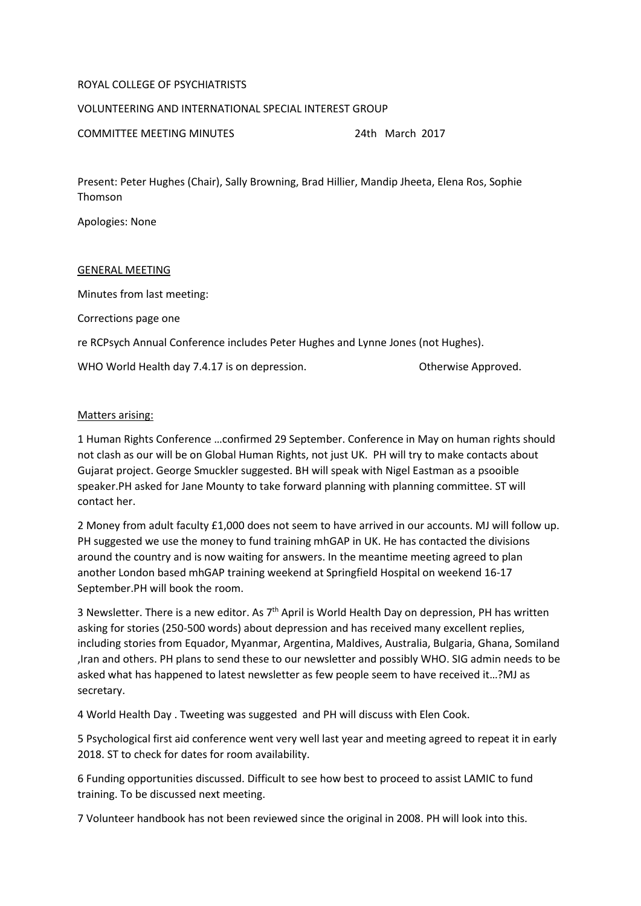## ROYAL COLLEGE OF PSYCHIATRISTS

## VOLUNTEERING AND INTERNATIONAL SPECIAL INTEREST GROUP

COMMITTEE MEETING MINUTES 24th March 2017

Present: Peter Hughes (Chair), Sally Browning, Brad Hillier, Mandip Jheeta, Elena Ros, Sophie Thomson

Apologies: None

## GENERAL MEETING

Minutes from last meeting:

Corrections page one

re RCPsych Annual Conference includes Peter Hughes and Lynne Jones (not Hughes).

WHO World Health day 7.4.17 is on depression. The Communist Controller Approved.

## Matters arising:

1 Human Rights Conference …confirmed 29 September. Conference in May on human rights should not clash as our will be on Global Human Rights, not just UK. PH will try to make contacts about Gujarat project. George Smuckler suggested. BH will speak with Nigel Eastman as a psooible speaker.PH asked for Jane Mounty to take forward planning with planning committee. ST will contact her.

2 Money from adult faculty £1,000 does not seem to have arrived in our accounts. MJ will follow up. PH suggested we use the money to fund training mhGAP in UK. He has contacted the divisions around the country and is now waiting for answers. In the meantime meeting agreed to plan another London based mhGAP training weekend at Springfield Hospital on weekend 16-17 September.PH will book the room.

3 Newsletter. There is a new editor. As  $7<sup>th</sup>$  April is World Health Day on depression, PH has written asking for stories (250-500 words) about depression and has received many excellent replies, including stories from Equador, Myanmar, Argentina, Maldives, Australia, Bulgaria, Ghana, Somiland ,Iran and others. PH plans to send these to our newsletter and possibly WHO. SIG admin needs to be asked what has happened to latest newsletter as few people seem to have received it…?MJ as secretary.

4 World Health Day . Tweeting was suggested and PH will discuss with Elen Cook.

5 Psychological first aid conference went very well last year and meeting agreed to repeat it in early 2018. ST to check for dates for room availability.

6 Funding opportunities discussed. Difficult to see how best to proceed to assist LAMIC to fund training. To be discussed next meeting.

7 Volunteer handbook has not been reviewed since the original in 2008. PH will look into this.